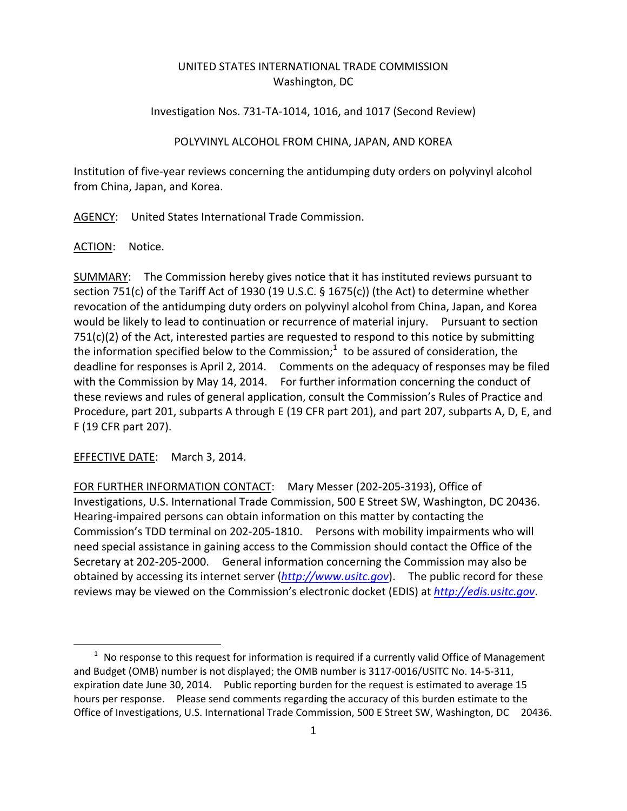## UNITED STATES INTERNATIONAL TRADE COMMISSION Washington, DC

## Investigation Nos. 731‐TA‐1014, 1016, and 1017 (Second Review)

## POLYVINYL ALCOHOL FROM CHINA, JAPAN, AND KOREA

Institution of five‐year reviews concerning the antidumping duty orders on polyvinyl alcohol from China, Japan, and Korea.

AGENCY: United States International Trade Commission.

ACTION: Notice.

SUMMARY: The Commission hereby gives notice that it has instituted reviews pursuant to section 751(c) of the Tariff Act of 1930 (19 U.S.C. § 1675(c)) (the Act) to determine whether revocation of the antidumping duty orders on polyvinyl alcohol from China, Japan, and Korea would be likely to lead to continuation or recurrence of material injury. Pursuant to section  $751(c)(2)$  of the Act, interested parties are requested to respond to this notice by submitting the information specified below to the Commission; $1$  to be assured of consideration, the deadline for responses is April 2, 2014. Comments on the adequacy of responses may be filed with the Commission by May 14, 2014. For further information concerning the conduct of these reviews and rules of general application, consult the Commission's Rules of Practice and Procedure, part 201, subparts A through E (19 CFR part 201), and part 207, subparts A, D, E, and F (19 CFR part 207).

EFFECTIVE DATE: March 3, 2014.

 $\overline{a}$ 

FOR FURTHER INFORMATION CONTACT: Mary Messer (202‐205‐3193), Office of Investigations, U.S. International Trade Commission, 500 E Street SW, Washington, DC 20436. Hearing‐impaired persons can obtain information on this matter by contacting the Commission's TDD terminal on 202‐205‐1810. Persons with mobility impairments who will need special assistance in gaining access to the Commission should contact the Office of the Secretary at 202‐205‐2000. General information concerning the Commission may also be obtained by accessing its internet server (*http://www.usitc.gov*). The public record for these reviews may be viewed on the Commission's electronic docket (EDIS) at *http://edis.usitc.gov*.

 $1$  No response to this request for information is required if a currently valid Office of Management and Budget (OMB) number is not displayed; the OMB number is 3117‐0016/USITC No. 14‐5‐311, expiration date June 30, 2014. Public reporting burden for the request is estimated to average 15 hours per response. Please send comments regarding the accuracy of this burden estimate to the Office of Investigations, U.S. International Trade Commission, 500 E Street SW, Washington, DC 20436.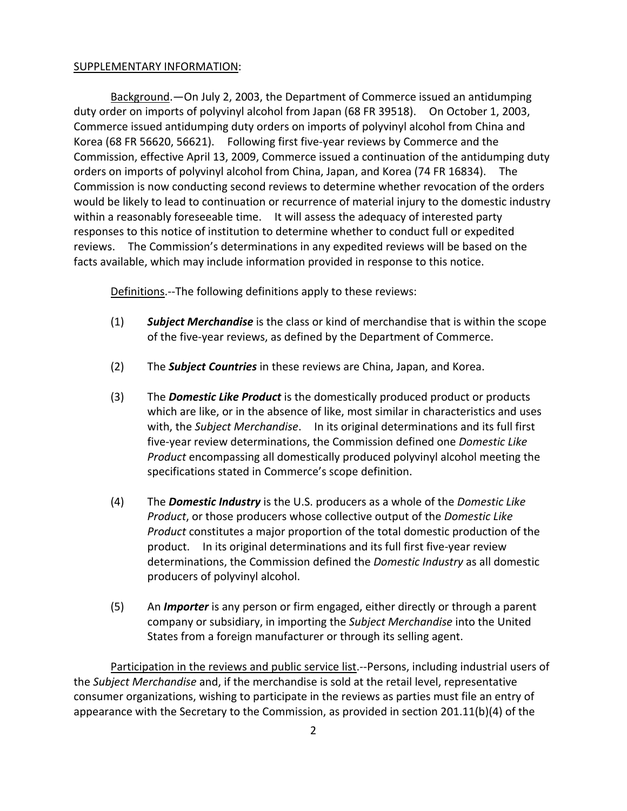## SUPPLEMENTARY INFORMATION:

Background.—On July 2, 2003, the Department of Commerce issued an antidumping duty order on imports of polyvinyl alcohol from Japan (68 FR 39518). On October 1, 2003, Commerce issued antidumping duty orders on imports of polyvinyl alcohol from China and Korea (68 FR 56620, 56621). Following first five-year reviews by Commerce and the Commission, effective April 13, 2009, Commerce issued a continuation of the antidumping duty orders on imports of polyvinyl alcohol from China, Japan, and Korea (74 FR 16834). The Commission is now conducting second reviews to determine whether revocation of the orders would be likely to lead to continuation or recurrence of material injury to the domestic industry within a reasonably foreseeable time. It will assess the adequacy of interested party responses to this notice of institution to determine whether to conduct full or expedited reviews. The Commission's determinations in any expedited reviews will be based on the facts available, which may include information provided in response to this notice.

Definitions. -- The following definitions apply to these reviews:

- (1) *Subject Merchandise* is the class or kind of merchandise that is within the scope of the five‐year reviews, as defined by the Department of Commerce.
- (2) The *Subject Countries* in these reviews are China, Japan, and Korea.
- (3) The *Domestic Like Product* is the domestically produced product or products which are like, or in the absence of like, most similar in characteristics and uses with, the *Subject Merchandise*. In its original determinations and its full first five‐year review determinations, the Commission defined one *Domestic Like Product* encompassing all domestically produced polyvinyl alcohol meeting the specifications stated in Commerce's scope definition.
- (4) The *Domestic Industry* is the U.S. producers as a whole of the *Domestic Like Product*, or those producers whose collective output of the *Domestic Like Product* constitutes a major proportion of the total domestic production of the product. In its original determinations and its full first five‐year review determinations, the Commission defined the *Domestic Industry* as all domestic producers of polyvinyl alcohol.
- (5) An *Importer* is any person or firm engaged, either directly or through a parent company or subsidiary, in importing the *Subject Merchandise* into the United States from a foreign manufacturer or through its selling agent.

Participation in the reviews and public service list.‐‐Persons, including industrial users of the *Subject Merchandise* and, if the merchandise is sold at the retail level, representative consumer organizations, wishing to participate in the reviews as parties must file an entry of appearance with the Secretary to the Commission, as provided in section 201.11(b)(4) of the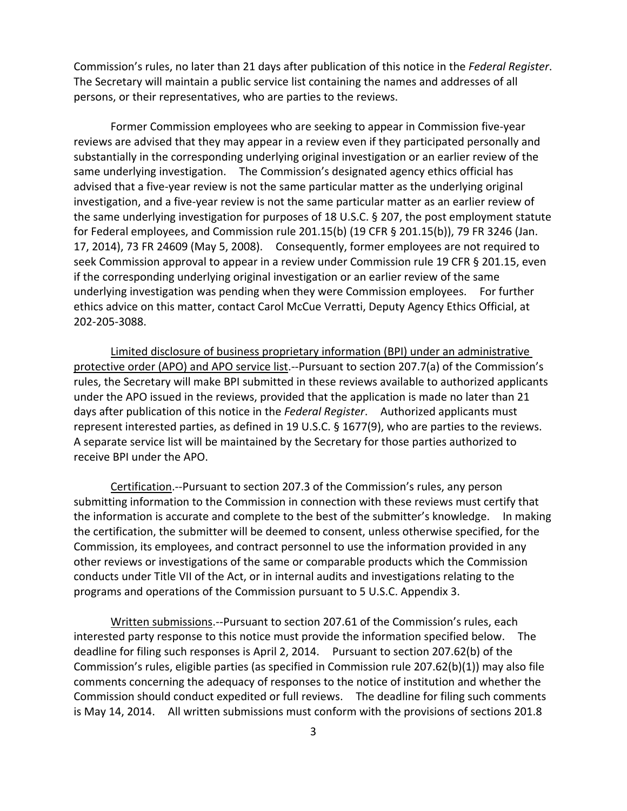Commission's rules, no later than 21 days after publication of this notice in the *Federal Register*. The Secretary will maintain a public service list containing the names and addresses of all persons, or their representatives, who are parties to the reviews.

Former Commission employees who are seeking to appear in Commission five‐year reviews are advised that they may appear in a review even if they participated personally and substantially in the corresponding underlying original investigation or an earlier review of the same underlying investigation. The Commission's designated agency ethics official has advised that a five‐year review is not the same particular matter as the underlying original investigation, and a five‐year review is not the same particular matter as an earlier review of the same underlying investigation for purposes of 18 U.S.C. § 207, the post employment statute for Federal employees, and Commission rule 201.15(b) (19 CFR § 201.15(b)), 79 FR 3246 (Jan. 17, 2014), 73 FR 24609 (May 5, 2008). Consequently, former employees are not required to seek Commission approval to appear in a review under Commission rule 19 CFR § 201.15, even if the corresponding underlying original investigation or an earlier review of the same underlying investigation was pending when they were Commission employees. For further ethics advice on this matter, contact Carol McCue Verratti, Deputy Agency Ethics Official, at 202‐205‐3088.

Limited disclosure of business proprietary information (BPI) under an administrative protective order (APO) and APO service list.‐‐Pursuant to section 207.7(a) of the Commission's rules, the Secretary will make BPI submitted in these reviews available to authorized applicants under the APO issued in the reviews, provided that the application is made no later than 21 days after publication of this notice in the *Federal Register*. Authorized applicants must represent interested parties, as defined in 19 U.S.C. § 1677(9), who are parties to the reviews. A separate service list will be maintained by the Secretary for those parties authorized to receive BPI under the APO.

Certification.‐‐Pursuant to section 207.3 of the Commission's rules, any person submitting information to the Commission in connection with these reviews must certify that the information is accurate and complete to the best of the submitter's knowledge. In making the certification, the submitter will be deemed to consent, unless otherwise specified, for the Commission, its employees, and contract personnel to use the information provided in any other reviews or investigations of the same or comparable products which the Commission conducts under Title VII of the Act, or in internal audits and investigations relating to the programs and operations of the Commission pursuant to 5 U.S.C. Appendix 3.

Written submissions.‐‐Pursuant to section 207.61 of the Commission's rules, each interested party response to this notice must provide the information specified below. The deadline for filing such responses is April 2, 2014. Pursuant to section 207.62(b) of the Commission's rules, eligible parties (as specified in Commission rule 207.62(b)(1)) may also file comments concerning the adequacy of responses to the notice of institution and whether the Commission should conduct expedited or full reviews. The deadline for filing such comments is May 14, 2014. All written submissions must conform with the provisions of sections 201.8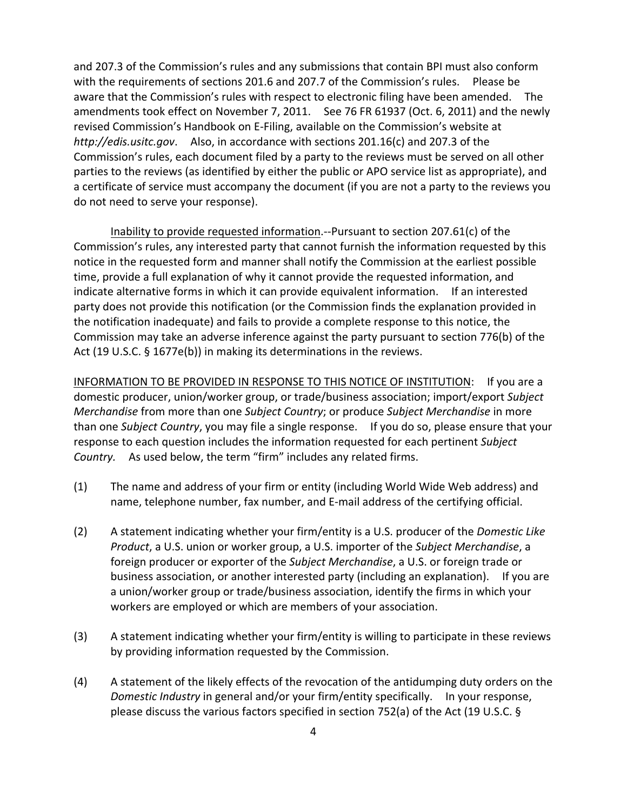and 207.3 of the Commission's rules and any submissions that contain BPI must also conform with the requirements of sections 201.6 and 207.7 of the Commission's rules. Please be aware that the Commission's rules with respect to electronic filing have been amended. The amendments took effect on November 7, 2011. See 76 FR 61937 (Oct. 6, 2011) and the newly revised Commission's Handbook on E‐Filing, available on the Commission's website at *http://edis.usitc.gov*. Also, in accordance with sections 201.16(c) and 207.3 of the Commission's rules, each document filed by a party to the reviews must be served on all other parties to the reviews (as identified by either the public or APO service list as appropriate), and a certificate of service must accompany the document (if you are not a party to the reviews you do not need to serve your response).

Inability to provide requested information.‐‐Pursuant to section 207.61(c) of the Commission's rules, any interested party that cannot furnish the information requested by this notice in the requested form and manner shall notify the Commission at the earliest possible time, provide a full explanation of why it cannot provide the requested information, and indicate alternative forms in which it can provide equivalent information. If an interested party does not provide this notification (or the Commission finds the explanation provided in the notification inadequate) and fails to provide a complete response to this notice, the Commission may take an adverse inference against the party pursuant to section 776(b) of the Act (19 U.S.C. § 1677e(b)) in making its determinations in the reviews.

INFORMATION TO BE PROVIDED IN RESPONSE TO THIS NOTICE OF INSTITUTION: If you are a domestic producer, union/worker group, or trade/business association; import/export *Subject Merchandise* from more than one *Subject Country*; or produce *Subject Merchandise* in more than one *Subject Country*, you may file a single response. If you do so, please ensure that your response to each question includes the information requested for each pertinent *Subject Country.* As used below, the term "firm" includes any related firms.

- (1) The name and address of your firm or entity (including World Wide Web address) and name, telephone number, fax number, and E‐mail address of the certifying official.
- (2) A statement indicating whether your firm/entity is a U.S. producer of the *Domestic Like Product*, a U.S. union or worker group, a U.S. importer of the *Subject Merchandise*, a foreign producer or exporter of the *Subject Merchandise*, a U.S. or foreign trade or business association, or another interested party (including an explanation). If you are a union/worker group or trade/business association, identify the firms in which your workers are employed or which are members of your association.
- (3) A statement indicating whether your firm/entity is willing to participate in these reviews by providing information requested by the Commission.
- (4) A statement of the likely effects of the revocation of the antidumping duty orders on the *Domestic Industry* in general and/or your firm/entity specifically. In your response, please discuss the various factors specified in section 752(a) of the Act (19 U.S.C. §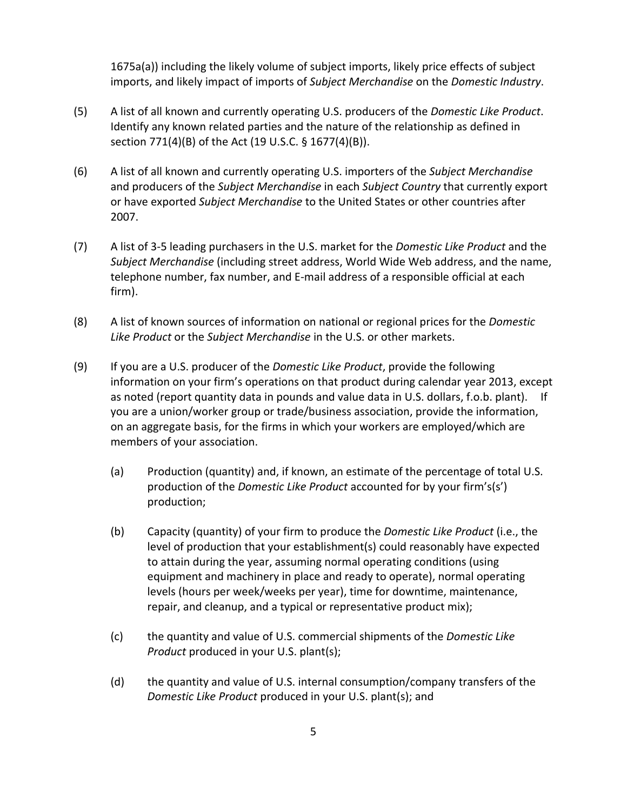1675a(a)) including the likely volume of subject imports, likely price effects of subject imports, and likely impact of imports of *Subject Merchandise* on the *Domestic Industry*.

- (5) A list of all known and currently operating U.S. producers of the *Domestic Like Product*. Identify any known related parties and the nature of the relationship as defined in section 771(4)(B) of the Act (19 U.S.C. § 1677(4)(B)).
- (6) A list of all known and currently operating U.S. importers of the *Subject Merchandise* and producers of the *Subject Merchandise* in each *Subject Country* that currently export or have exported *Subject Merchandise* to the United States or other countries after 2007.
- (7) A list of 3‐5 leading purchasers in the U.S. market for the *Domestic Like Product* and the *Subject Merchandise* (including street address, World Wide Web address, and the name, telephone number, fax number, and E‐mail address of a responsible official at each firm).
- (8) A list of known sources of information on national or regional prices for the *Domestic Like Product* or the *Subject Merchandise* in the U.S. or other markets.
- (9) If you are a U.S. producer of the *Domestic Like Product*, provide the following information on your firm's operations on that product during calendar year 2013, except as noted (report quantity data in pounds and value data in U.S. dollars, f.o.b. plant). If you are a union/worker group or trade/business association, provide the information, on an aggregate basis, for the firms in which your workers are employed/which are members of your association.
	- (a) Production (quantity) and, if known, an estimate of the percentage of total U.S. production of the *Domestic Like Product* accounted for by your firm's(s') production;
	- (b) Capacity (quantity) of your firm to produce the *Domestic Like Product* (i.e., the level of production that your establishment(s) could reasonably have expected to attain during the year, assuming normal operating conditions (using equipment and machinery in place and ready to operate), normal operating levels (hours per week/weeks per year), time for downtime, maintenance, repair, and cleanup, and a typical or representative product mix);
	- (c) the quantity and value of U.S. commercial shipments of the *Domestic Like Product* produced in your U.S. plant(s);
	- (d) the quantity and value of U.S. internal consumption/company transfers of the *Domestic Like Product* produced in your U.S. plant(s); and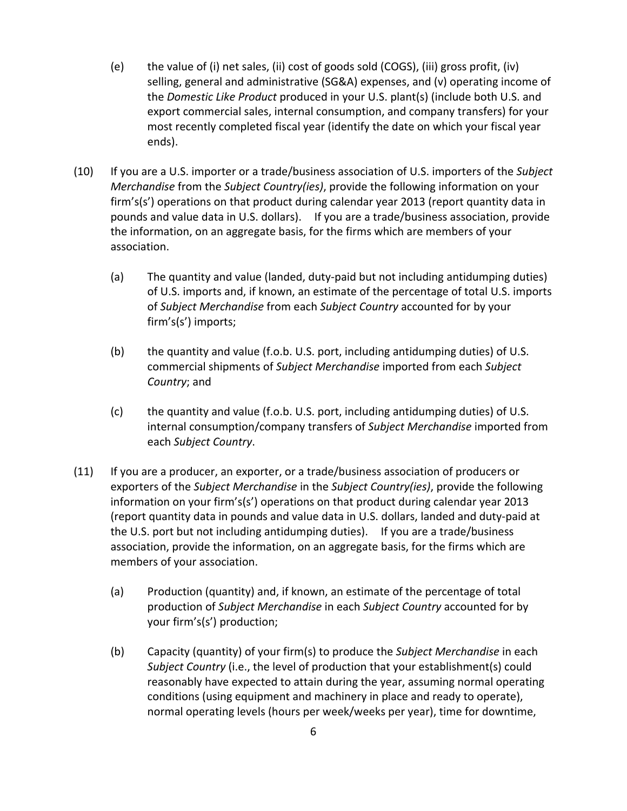- (e) the value of (i) net sales, (ii) cost of goods sold (COGS), (iii) gross profit, (iv) selling, general and administrative (SG&A) expenses, and (v) operating income of the *Domestic Like Product* produced in your U.S. plant(s) (include both U.S. and export commercial sales, internal consumption, and company transfers) for your most recently completed fiscal year (identify the date on which your fiscal year ends).
- (10) If you are a U.S. importer or a trade/business association of U.S. importers of the *Subject Merchandise* from the *Subject Country(ies)*, provide the following information on your firm's(s') operations on that product during calendar year 2013 (report quantity data in pounds and value data in U.S. dollars). If you are a trade/business association, provide the information, on an aggregate basis, for the firms which are members of your association.
	- (a) The quantity and value (landed, duty‐paid but not including antidumping duties) of U.S. imports and, if known, an estimate of the percentage of total U.S. imports of *Subject Merchandise* from each *Subject Country* accounted for by your firm's(s') imports;
	- (b) the quantity and value (f.o.b. U.S. port, including antidumping duties) of U.S. commercial shipments of *Subject Merchandise* imported from each *Subject Country*; and
	- (c) the quantity and value (f.o.b. U.S. port, including antidumping duties) of U.S. internal consumption/company transfers of *Subject Merchandise* imported from each *Subject Country*.
- (11) If you are a producer, an exporter, or a trade/business association of producers or exporters of the *Subject Merchandise* in the *Subject Country(ies)*, provide the following information on your firm's(s') operations on that product during calendar year 2013 (report quantity data in pounds and value data in U.S. dollars, landed and duty‐paid at the U.S. port but not including antidumping duties). If you are a trade/business association, provide the information, on an aggregate basis, for the firms which are members of your association.
	- (a) Production (quantity) and, if known, an estimate of the percentage of total production of *Subject Merchandise* in each *Subject Country* accounted for by your firm's(s') production;
	- (b) Capacity (quantity) of your firm(s) to produce the *Subject Merchandise* in each *Subject Country* (i.e., the level of production that your establishment(s) could reasonably have expected to attain during the year, assuming normal operating conditions (using equipment and machinery in place and ready to operate), normal operating levels (hours per week/weeks per year), time for downtime,